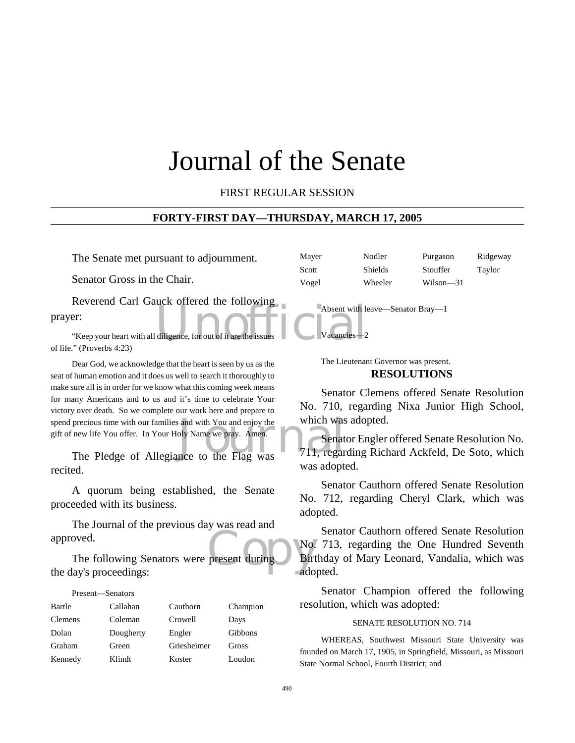# Journal of the Senate

FIRST REGULAR SESSION

#### **FORTY-FIRST DAY—THURSDAY, MARCH 17, 2005**

The Senate met pursuant to adjournment.

Senator Gross in the Chair.

Absent with le<br>diligence, for out of it are the issues Reverend Carl Gauck offered the following prayer:

"Keep your heart with all diligence, for out of it are the of life." (Proverbs 4:23)

precious time with our families and with You and enjoy the Which was<br>
The Pledge of Allegiance to the Flag was<br>
The Pledge of Allegiance to the Flag was<br>
The Pledge of Allegiance to the Flag was Dear God, we acknowledge that the heart is seen by us as the seat of human emotion and it does us well to search it thoroughly to make sure all is in order for we know what this coming week means for many Americans and to us and it's time to celebrate Your victory over death. So we complete our work here and prepare to spend precious time with our families and with You and enjoy the gift of new life You offer. In Your Holy Name we pray. Amen.

recited.

A quorum being established, the Senate proceeded with its business.

The Journal of the previous day was read and approved.

present during Birt The following Senators were present during the day's proceedings:

| Present—Senators |           |             |          |
|------------------|-----------|-------------|----------|
| Bartle           | Callahan  | Cauthorn    | Champion |
| <b>Clemens</b>   | Coleman   | Crowell     | Days     |
| Dolan            | Dougherty | Engler      | Gibbons  |
| Graham           | Green     | Griesheimer | Gross    |
| Kennedy          | Klindt    | Koster      | Loudon   |

Mayer Nodler Purgason Ridgeway Scott Shields Stouffer Taylor Vogel Wheeler Wilson—31

Absent with leave—Senator Bray—1

Vacancies

The Lieutenant Governor was present. **RESOLUTIONS**

Senator Clemens offered Senate Resolution No. 710, regarding Nixa Junior High School, which was adopted.

Senator Engler offered Senate Resolution No. 711, regarding Richard Ackfeld, De Soto, which was adopted.

Senator Cauthorn offered Senate Resolution No. 712, regarding Cheryl Clark, which was adopted.

Senator Cauthorn offered Senate Resolution No. 713, regarding the One Hundred Seventh Birthday of Mary Leonard, Vandalia, which was adopted.

Senator Champion offered the following resolution, which was adopted:

#### SENATE RESOLUTION NO. 714

WHEREAS, Southwest Missouri State University was founded on March 17, 1905, in Springfield, Missouri, as Missouri State Normal School, Fourth District; and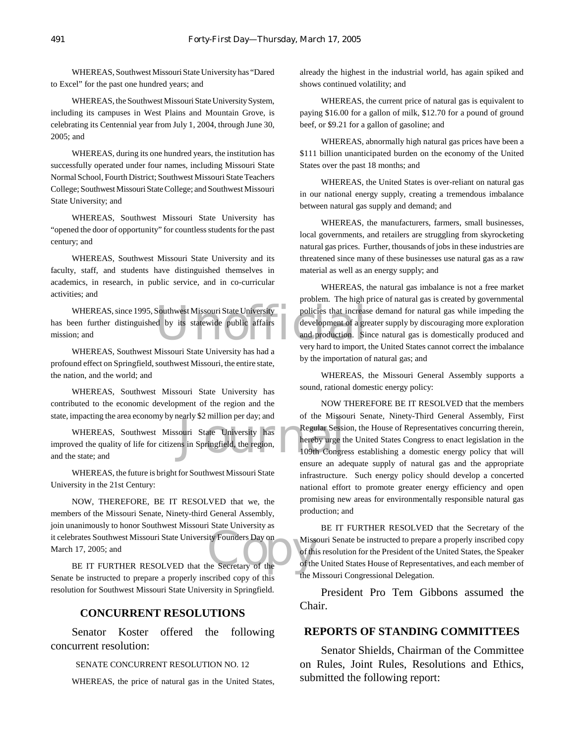WHEREAS, Southwest Missouri State University has "Dared to Excel" for the past one hundred years; and

WHEREAS, the Southwest Missouri State University System, including its campuses in West Plains and Mountain Grove, is celebrating its Centennial year from July 1, 2004, through June 30, 2005; and

WHEREAS, during its one hundred years, the institution has successfully operated under four names, including Missouri State Normal School, Fourth District; Southwest Missouri State Teachers College; Southwest Missouri State College; and Southwest Missouri State University; and

WHEREAS, Southwest Missouri State University has "opened the door of opportunity" for countless students for the past century; and

WHEREAS, Southwest Missouri State University and its faculty, staff, and students have distinguished themselves in academics, in research, in public service, and in co-curricular activities; and

WHEREAS, since 1995, Southwest Missouri State University<br>
een further distinguished by its statewide public affairs<br>
m; and<br>
were hard to import. has been further distinguished by its statewide public affairs mission; and

WHEREAS, Southwest Missouri State University has had a profound effect on Springfield, southwest Missouri, the entire state, the nation, and the world; and

WHEREAS, Southwest Missouri State University has contributed to the economic development of the region and the state, impacting the area economy by nearly \$2 million per day; and

Exercise our State University has<br>
Simple the University has<br>
In Springfield, the region, The Hereby urge the Hotel of the Congregation WHEREAS, Southwest Missouri State University has improved the quality of life for citizens in Springfield, the region, and the state; and

WHEREAS, the future is bright for Southwest Missouri State University in the 21st Century:

It celebrates Southwest Missouri State University Founders Day on<br>
March 17, 2005; and<br>
BE IT FURTHER RESOLVED that the Secretary of the of the NOW, THEREFORE, BE IT RESOLVED that we, the members of the Missouri Senate, Ninety-third General Assembly, join unanimously to honor Southwest Missouri State University as March 17, 2005; and

BE IT FURTHER RESOLVED that the Secretary of the Senate be instructed to prepare a properly inscribed copy of this resolution for Southwest Missouri State University in Springfield.

#### **CONCURRENT RESOLUTIONS**

Senator Koster offered the following concurrent resolution:

SENATE CONCURRENT RESOLUTION NO. 12

WHEREAS, the price of natural gas in the United States,

already the highest in the industrial world, has again spiked and shows continued volatility; and

WHEREAS, the current price of natural gas is equivalent to paying \$16.00 for a gallon of milk, \$12.70 for a pound of ground beef, or \$9.21 for a gallon of gasoline; and

WHEREAS, abnormally high natural gas prices have been a \$111 billion unanticipated burden on the economy of the United States over the past 18 months; and

WHEREAS, the United States is over-reliant on natural gas in our national energy supply, creating a tremendous imbalance between natural gas supply and demand; and

WHEREAS, the manufacturers, farmers, small businesses, local governments, and retailers are struggling from skyrocketing natural gas prices. Further, thousands of jobs in these industries are threatened since many of these businesses use natural gas as a raw material as well as an energy supply; and

WHEREAS, the natural gas imbalance is not a free market problem. The high price of natural gas is created by governmental policies that increase demand for natural gas while impeding the development of a greater supply by discouraging more exploration and production. Since natural gas is domestically produced and very hard to import, the United States cannot correct the imbalance by the importation of natural gas; and

WHEREAS, the Missouri General Assembly supports a sound, rational domestic energy policy:

NOW THEREFORE BE IT RESOLVED that the members of the Missouri Senate, Ninety-Third General Assembly, First Regular Session, the House of Representatives concurring therein, hereby urge the United States Congress to enact legislation in the 109th Congress establishing a domestic energy policy that will ensure an adequate supply of natural gas and the appropriate infrastructure. Such energy policy should develop a concerted national effort to promote greater energy efficiency and open promising new areas for environmentally responsible natural gas production; and

BE IT FURTHER RESOLVED that the Secretary of the Missouri Senate be instructed to prepare a properly inscribed copy of this resolution for the President of the United States, the Speaker of the United States House of Representatives, and each member of **the Missouri Congressional Delegation.** 

President Pro Tem Gibbons assumed the Chair.

#### **REPORTS OF STANDING COMMITTEES**

Senator Shields, Chairman of the Committee on Rules, Joint Rules, Resolutions and Ethics, submitted the following report: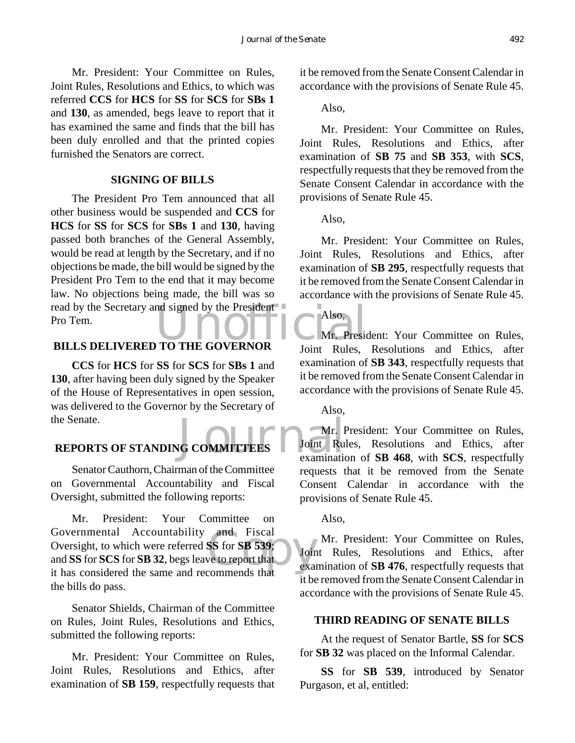Mr. President: Your Committee on Rules, Joint Rules, Resolutions and Ethics, to which was referred **CCS** for **HCS** for **SS** for **SCS** for **SBs 1** and **130**, as amended, begs leave to report that it has examined the same and finds that the bill has been duly enrolled and that the printed copies furnished the Senators are correct.

#### **SIGNING OF BILLS**

read by the Secretary and signed by the President<br>Pro Tem.<br>BILLS DELIVERED TO THE GOVERNOR Loint Pulse The President Pro Tem announced that all other business would be suspended and **CCS** for **HCS** for **SS** for **SCS** for **SBs 1** and **130**, having passed both branches of the General Assembly, would be read at length by the Secretary, and if no objections be made, the bill would be signed by the President Pro Tem to the end that it may become law. No objections being made, the bill was so Pro Tem.

## **BILLS DELIVERED TO THE GOVERNOR**

**CCS** for **HCS** for **SS** for **SCS** for **SBs 1** and **130**, after having been duly signed by the Speaker of the House of Representatives in open session, was delivered to the Governor by the Secretary of the Senate.

#### **REPORTS OF STANDING COMMITTEES**

Senator Cauthorn, Chairman of the Committee on Governmental Accountability and Fiscal Oversight, submitted the following reports:

and Fiscal<br>
SS for SB 539;<br>
ve to report that examples that example Mr. President: Your Committee on Governmental Accountability and Fiscal Oversight, to which were referred **SS** for **SB 539**; and **SS** for **SCS** for **SB 32**, begs leave to report that it has considered the same and recommends that the bills do pass.

Senator Shields, Chairman of the Committee on Rules, Joint Rules, Resolutions and Ethics, submitted the following reports:

Mr. President: Your Committee on Rules, Joint Rules, Resolutions and Ethics, after examination of **SB 159**, respectfully requests that it be removed from the Senate Consent Calendar in accordance with the provisions of Senate Rule 45.

Also,

Mr. President: Your Committee on Rules, Joint Rules, Resolutions and Ethics, after examination of **SB 75** and **SB 353**, with **SCS**, respectfully requests that they be removed from the Senate Consent Calendar in accordance with the provisions of Senate Rule 45.

Also,

Mr. President: Your Committee on Rules, Joint Rules, Resolutions and Ethics, after examination of **SB 295**, respectfully requests that it be removed from the Senate Consent Calendar in accordance with the provisions of Senate Rule 45.

Mr. President: Your Committee on Rules, Joint Rules, Resolutions and Ethics, after examination of **SB 343**, respectfully requests that it be removed from the Senate Consent Calendar in accordance with the provisions of Senate Rule 45.

Also,

Also,

**SCOMMITTEES** Doint Rue examination Mr. President: Your Committee on Rules, Joint Rules, Resolutions and Ethics, after examination of **SB 468**, with **SCS**, respectfully requests that it be removed from the Senate Consent Calendar in accordance with the provisions of Senate Rule 45.

Also,

Mr. President: Your Committee on Rules, Joint Rules, Resolutions and Ethics, after examination of **SB 476**, respectfully requests that it be removed from the Senate Consent Calendar in accordance with the provisions of Senate Rule 45.

#### **THIRD READING OF SENATE BILLS**

At the request of Senator Bartle, **SS** for **SCS** for **SB 32** was placed on the Informal Calendar.

**SS** for **SB 539**, introduced by Senator Purgason, et al, entitled: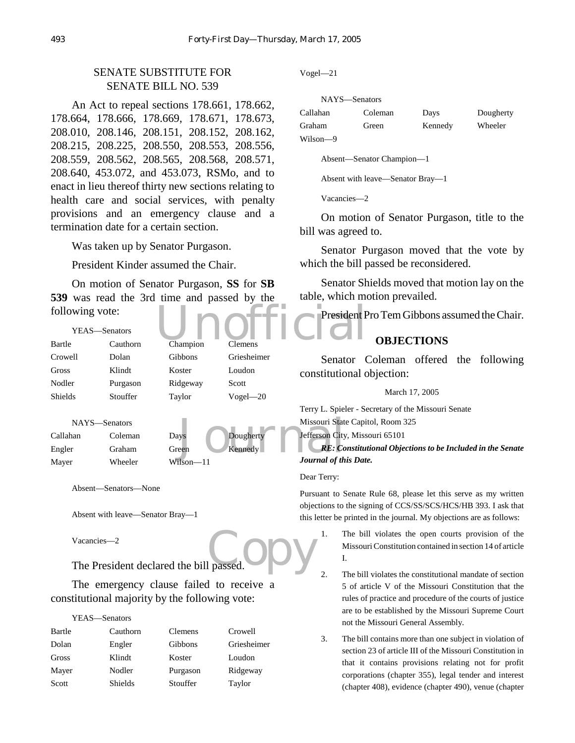## SENATE SUBSTITUTE FOR SENATE BILL NO. 539

An Act to repeal sections 178.661, 178.662, 178.664, 178.666, 178.669, 178.671, 178.673, 208.010, 208.146, 208.151, 208.152, 208.162, 208.215, 208.225, 208.550, 208.553, 208.556, 208.559, 208.562, 208.565, 208.568, 208.571, 208.640, 453.072, and 453.073, RSMo, and to enact in lieu thereof thirty new sections relating to health care and social services, with penalty provisions and an emergency clause and a termination date for a certain section.

Was taken up by Senator Purgason.

President Kinder assumed the Chair.

On motion of Senator Purgason, **SS** for **SB 539** was read the 3rd time and passed by the following vote:

| following vote: |               |                |                | President P                                     |
|-----------------|---------------|----------------|----------------|-------------------------------------------------|
|                 | YEAS—Senators |                |                |                                                 |
| Bartle          | Cauthorn      | Champion       | <b>Clemens</b> |                                                 |
| Crowell         | Dolan         | <b>Gibbons</b> | Griesheimer    | $\overline{\phantom{a}}$<br><b>Senator</b>      |
| Gross           | Klindt        | Koster         | Loudon         | constitutional o                                |
| Nodler          | Purgason      | Ridgeway       | Scott          |                                                 |
| <b>Shields</b>  | Stouffer      | Taylor         | $Vogel - 20$   |                                                 |
|                 |               |                |                | $S_{\text{middle}} - S_{\text{e}}$<br>$TarrU$ I |

```
NAYS—Senators
Callahan Coleman Days Dougherty
Engler Graham Green Kennedy
Mayer Wheeler Wilson—11
```
Missouri State<br>
Missouri State<br>
Exercity<br>
Exercises<br>
Missouri State<br>
The Terror City<br>
Missouri State<br>
Terror City<br>
Terror City<br>
Journal of the Terror City<br>
Journal of the Terror City<br>
Journal of the Terror City

Absent—Senators—None

Absent with leave—Senator Bray—1

Vacancies—2

passed. Opy The President declared the bill passed.

The emergency clause failed to receive a constitutional majority by the following vote:

#### YEAS—Senators

| Cauthorn | Clemens  | Crowell     |
|----------|----------|-------------|
| Engler   | Gibbons  | Griesheimer |
| Klindt   | Koster   | Loudon      |
| Nodler   | Purgason | Ridgeway    |
| Shields  | Stouffer | Taylor      |
|          |          |             |

Vogel—21

| NAYS—Senators |         |         |           |
|---------------|---------|---------|-----------|
| Callahan      | Coleman | Days    | Dougherty |
| Graham        | Green   | Kennedy | Wheeler   |
| Wilson-9      |         |         |           |

Absent—Senator Champion—1

Absent with leave—Senator Bray—1

Vacancies—2

On motion of Senator Purgason, title to the bill was agreed to.

Senator Purgason moved that the vote by which the bill passed be reconsidered.

Senator Shields moved that motion lay on the table, which motion prevailed.

President Pro Tem Gibbons assumed the Chair.

## **OBJECTIONS**

Senator Coleman offered the following constitutional objection:

#### March 17, 2005

Terry L. Spieler - Secretary of the Missouri Senate Missouri State Capitol, Room 325

Jefferson City, Missouri 65101

*RE: Constitutional Objections to be Included in the Senate Journal of this Date.*

#### Dear Terry:

Pursuant to Senate Rule 68, please let this serve as my written objections to the signing of CCS/SS/SCS/HCS/HB 393. I ask that this letter be printed in the journal. My objections are as follows:

1. The bill violates the open courts provision of the Missouri Constitution contained in section 14 of article I.

2. The bill violates the constitutional mandate of section 5 of article V of the Missouri Constitution that the rules of practice and procedure of the courts of justice are to be established by the Missouri Supreme Court not the Missouri General Assembly.

3. The bill contains more than one subject in violation of section 23 of article III of the Missouri Constitution in that it contains provisions relating not for profit corporations (chapter 355), legal tender and interest (chapter 408), evidence (chapter 490), venue (chapter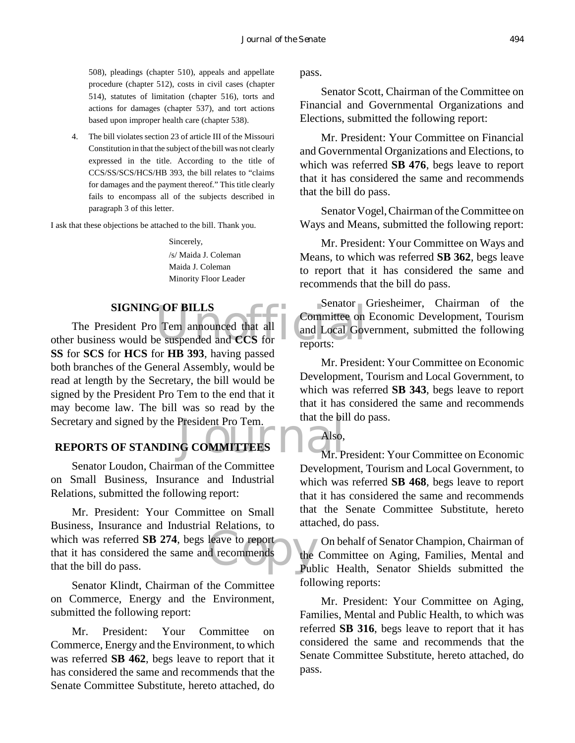508), pleadings (chapter 510), appeals and appellate procedure (chapter 512), costs in civil cases (chapter 514), statutes of limitation (chapter 516), torts and actions for damages (chapter 537), and tort actions based upon improper health care (chapter 538).

4. The bill violates section 23 of article III of the Missouri Constitution in that the subject of the bill was not clearly expressed in the title. According to the title of CCS/SS/SCS/HCS/HB 393, the bill relates to "claims for damages and the payment thereof." This title clearly fails to encompass all of the subjects described in paragraph 3 of this letter.

I ask that these objections be attached to the bill. Thank you.

Sincerely, /s/ Maida J. Coleman Maida J. Coleman Minority Floor Leader

## **SIGNING OF BILLS**

FOF BILLS<br>
Tem announced that all<br>
e suspended and CCS for<br>
reports: Secretary and signed by the President Pro Tem.<br> **REPORTS OF STANDING COMMITTEES** The President Pro Tem announced that all other business would be suspended and **CCS** for **SS** for **SCS** for **HCS** for **HB 393**, having passed both branches of the General Assembly, would be read at length by the Secretary, the bill would be signed by the President Pro Tem to the end that it may become law. The bill was so read by the

## **REPORTS OF STANDING COMMITTEES**

Senator Loudon, Chairman of the Committee on Small Business, Insurance and Industrial Relations, submitted the following report:

model which was referred **SB 274**, begs leave to report<br>that it has considered the same and recommends<br>that the bill do pass. Mr. President: Your Committee on Small Business, Insurance and Industrial Relations, to that it has considered the same and recommends that the bill do pass.

Senator Klindt, Chairman of the Committee on Commerce, Energy and the Environment, submitted the following report:

Mr. President: Your Committee on Commerce, Energy and the Environment, to which was referred **SB 462**, begs leave to report that it has considered the same and recommends that the Senate Committee Substitute, hereto attached, do

pass.

Senator Scott, Chairman of the Committee on Financial and Governmental Organizations and Elections, submitted the following report:

Mr. President: Your Committee on Financial and Governmental Organizations and Elections, to which was referred **SB 476**, begs leave to report that it has considered the same and recommends that the bill do pass.

Senator Vogel, Chairman of the Committee on Ways and Means, submitted the following report:

Mr. President: Your Committee on Ways and Means, to which was referred **SB 362**, begs leave to report that it has considered the same and recommends that the bill do pass.

Senator Griesheimer, Chairman of the Committee on Economic Development, Tourism and Local Government, submitted the following reports:

Mr. President: Your Committee on Economic Development, Tourism and Local Government, to which was referred **SB 343**, begs leave to report that it has considered the same and recommends that the bill do pass.

## Also,

Mr. President: Your Committee on Economic Development, Tourism and Local Government, to which was referred **SB 468**, begs leave to report that it has considered the same and recommends that the Senate Committee Substitute, hereto attached, do pass.

On behalf of Senator Champion, Chairman of the Committee on Aging, Families, Mental and Public Health, Senator Shields submitted the following reports:

Mr. President: Your Committee on Aging, Families, Mental and Public Health, to which was referred **SB 316**, begs leave to report that it has considered the same and recommends that the Senate Committee Substitute, hereto attached, do pass.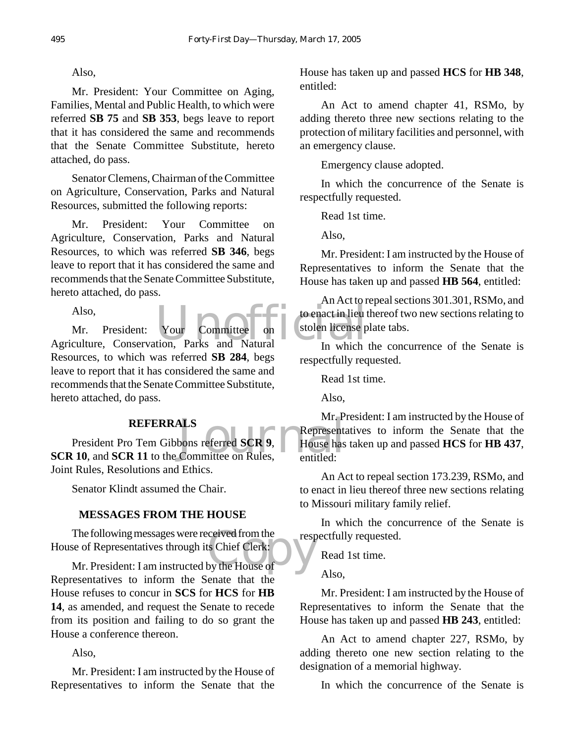#### Also,

Mr. President: Your Committee on Aging, Families, Mental and Public Health, to which were referred **SB 75** and **SB 353**, begs leave to report that it has considered the same and recommends that the Senate Committee Substitute, hereto attached, do pass.

Senator Clemens, Chairman of the Committee on Agriculture, Conservation, Parks and Natural Resources, submitted the following reports:

Mr. President: Your Committee on Agriculture, Conservation, Parks and Natural Resources, to which was referred **SB 346**, begs leave to report that it has considered the same and recommends that the Senate Committee Substitute, hereto attached, do pass.

Also,

Also,<br>
Mr. President: Your Committee on to enact in lieu to<br>
Agriculture, Conservation, Parks and Natural In which Mr. President: Your Committee on Resources, to which was referred **SB 284**, begs leave to report that it has considered the same and recommends that the Senate Committee Substitute, hereto attached, do pass.

#### **REFERRALS**

MES<br>
bons referred SCR 9, Representations<br>
Committee on Rules, entitled: President Pro Tem Gibbons referred **SCR 9**, **SCR 10, and SCR 11** to the Committee on Rules, Joint Rules, Resolutions and Ethics.

Senator Klindt assumed the Chair.

#### **MESSAGES FROM THE HOUSE**

The following messages were received from the respective of Representatives through its Chief Clerk:<br>Mr. President: I am instructed by the House of The following messages were received from the House of Representatives through its Chief Clerk:

Representatives to inform the Senate that the House refuses to concur in **SCS** for **HCS** for **HB 14**, as amended, and request the Senate to recede from its position and failing to do so grant the House a conference thereon.

Also,

Mr. President: I am instructed by the House of Representatives to inform the Senate that the

House has taken up and passed **HCS** for **HB 348**, entitled:

An Act to amend chapter 41, RSMo, by adding thereto three new sections relating to the protection of military facilities and personnel, with an emergency clause.

Emergency clause adopted.

In which the concurrence of the Senate is respectfully requested.

Read 1st time.

Also,

Mr. President: I am instructed by the House of Representatives to inform the Senate that the House has taken up and passed **HB 564**, entitled:

An Act to repeal sections 301.301, RSMo, and to enact in lieu thereof two new sections relating to stolen license plate tabs.

In which the concurrence of the Senate is respectfully requested.

Read 1st time.

Also,

Mr. President: I am instructed by the House of Representatives to inform the Senate that the House has taken up and passed **HCS** for **HB 437**, entitled:

An Act to repeal section 173.239, RSMo, and to enact in lieu thereof three new sections relating to Missouri military family relief.

In which the concurrence of the Senate is respectfully requested.

Read 1st time.

Also,

Mr. President: I am instructed by the House of Representatives to inform the Senate that the House has taken up and passed **HB 243**, entitled:

An Act to amend chapter 227, RSMo, by adding thereto one new section relating to the designation of a memorial highway.

In which the concurrence of the Senate is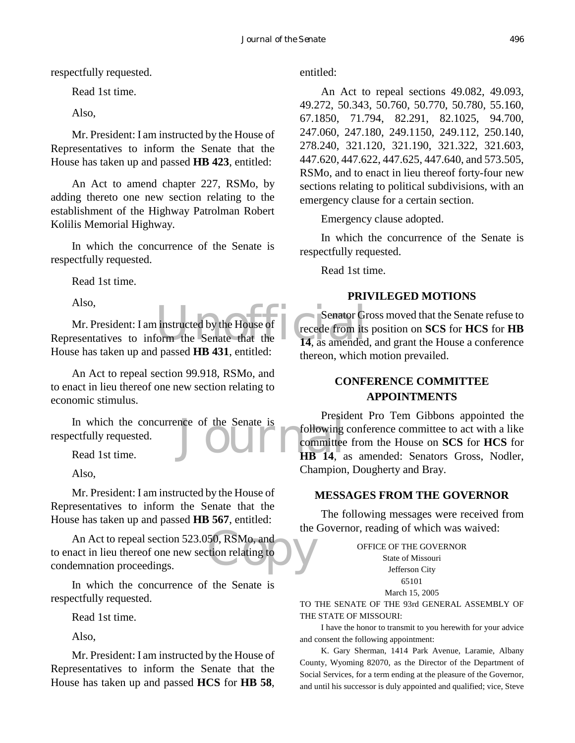respectfully requested.

Read 1st time.

Also,

Mr. President: I am instructed by the House of Representatives to inform the Senate that the House has taken up and passed **HB 423**, entitled:

An Act to amend chapter 227, RSMo, by adding thereto one new section relating to the establishment of the Highway Patrolman Robert Kolilis Memorial Highway.

In which the concurrence of the Senate is respectfully requested.

Read 1st time.

Also,

Senator Grand Senator Grand Senator Grand Senator Grand Senate that the 14, as amended Mr. President: I am instructed by the House of Representatives to inform the Senate that the House has taken up and passed **HB 431**, entitled:

An Act to repeal section 99.918, RSMo, and to enact in lieu thereof one new section relating to economic stimulus.

In which the concurrence of the Senate is<br>
ectfully requested.<br>
Read 1st time.<br>
HB 14, a respectfully requested.

Read 1st time.

Also,

Mr. President: I am instructed by the House of Representatives to inform the Senate that the House has taken up and passed **HB 567**, entitled:

50, RSMo, and<br>tion relating to An Act to repeal section 523.050, RSMo, and to enact in lieu thereof one new section relating to condemnation proceedings.

In which the concurrence of the Senate is respectfully requested.

Read 1st time.

Also,

Mr. President: I am instructed by the House of Representatives to inform the Senate that the House has taken up and passed **HCS** for **HB 58**, entitled:

An Act to repeal sections 49.082, 49.093, 49.272, 50.343, 50.760, 50.770, 50.780, 55.160, 67.1850, 71.794, 82.291, 82.1025, 94.700, 247.060, 247.180, 249.1150, 249.112, 250.140, 278.240, 321.120, 321.190, 321.322, 321.603, 447.620, 447.622, 447.625, 447.640, and 573.505, RSMo, and to enact in lieu thereof forty-four new sections relating to political subdivisions, with an emergency clause for a certain section.

Emergency clause adopted.

In which the concurrence of the Senate is respectfully requested.

Read 1st time.

#### **PRIVILEGED MOTIONS**

Senator Gross moved that the Senate refuse to recede from its position on **SCS** for **HCS** for **HB 14**, as amended, and grant the House a conference thereon, which motion prevailed.

## **CONFERENCE COMMITTEE APPOINTMENTS**

President Pro Tem Gibbons appointed the following conference committee to act with a like committee from the House on **SCS** for **HCS** for **HB 14**, as amended: Senators Gross, Nodler, Champion, Dougherty and Bray.

#### **MESSAGES FROM THE GOVERNOR**

The following messages were received from the Governor, reading of which was waived:

> OFFICE OF THE GOVERNOR State of Missouri Jefferson City 65101 March 15, 2005

TO THE SENATE OF THE 93rd GENERAL ASSEMBLY OF THE STATE OF MISSOURI:

I have the honor to transmit to you herewith for your advice and consent the following appointment:

K. Gary Sherman, 1414 Park Avenue, Laramie, Albany County, Wyoming 82070, as the Director of the Department of Social Services, for a term ending at the pleasure of the Governor, and until his successor is duly appointed and qualified; vice, Steve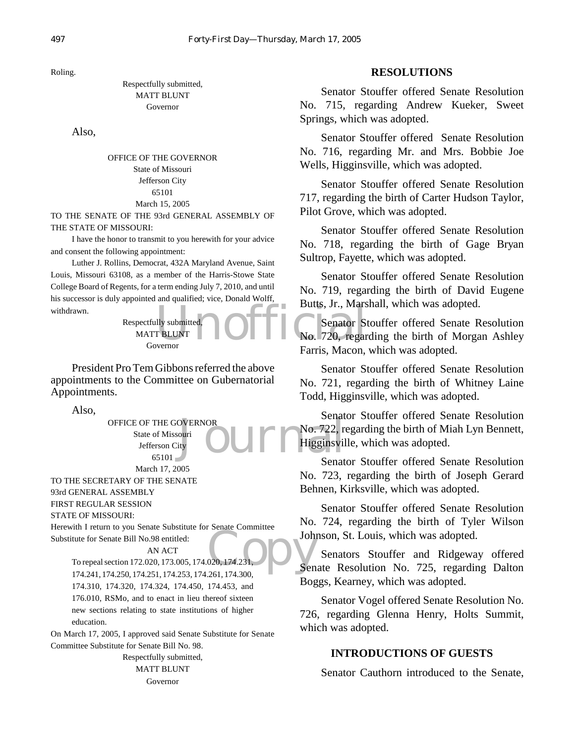Roling.

#### Respectfully submitted, MATT BLUNT Governor

Also,

OFFICE OF THE GOVERNOR State of Missouri Jefferson City 65101 March 15, 2005

TO THE SENATE OF THE 93rd GENERAL ASSEMBLY OF THE STATE OF MISSOURI:

I have the honor to transmit to you herewith for your advice and consent the following appointment:

Luther J. Rollins, Democrat, 432A Maryland Avenue, Saint Louis, Missouri 63108, as a member of the Harris-Stowe State College Board of Regents, for a term ending July 7, 2010, and until his successor is duly appointed and qualified; vice, Donald Wolff, withdrawn.

Butts, Jr., Mars<br>
TBLUNT<br>
No. 720, regar<br>
No. 720, regar Respectfully submitted, MATT BLUNT Governor

President Pro Tem Gibbons referred the above appointments to the Committee on Gubernatorial Appointments.

Also,

OFFICE OF THE GOVERNOR State of Missouri Jefferson City 65101 March 17, 2005

TO THE SECRETARY OF THE SENATE

93rd GENERAL ASSEMBLY

FIRST REGULAR SESSION

STATE OF MISSOURI:

John<br>020, 174.231, Sen Herewith I return to you Senate Substitute for Senate Committee Substitute for Senate Bill No.98 entitled:

#### AN ACT

To repeal section 172.020, 173.005, 174.020, 174.231, 174.241, 174.250, 174.251, 174.253, 174.261, 174.300, 174.310, 174.320, 174.324, 174.450, 174.453, and 176.010, RSMo, and to enact in lieu thereof sixteen new sections relating to state institutions of higher education.

On March 17, 2005, I approved said Senate Substitute for Senate Committee Substitute for Senate Bill No. 98.

> Respectfully submitted, MATT BLUNT Governor

#### **RESOLUTIONS**

Senator Stouffer offered Senate Resolution No. 715, regarding Andrew Kueker, Sweet Springs, which was adopted.

Senator Stouffer offered Senate Resolution No. 716, regarding Mr. and Mrs. Bobbie Joe Wells, Higginsville, which was adopted.

Senator Stouffer offered Senate Resolution 717, regarding the birth of Carter Hudson Taylor, Pilot Grove, which was adopted.

Senator Stouffer offered Senate Resolution No. 718, regarding the birth of Gage Bryan Sultrop, Fayette, which was adopted.

Senator Stouffer offered Senate Resolution No. 719, regarding the birth of David Eugene Butts, Jr., Marshall, which was adopted.

Senator Stouffer offered Senate Resolution No. 720, regarding the birth of Morgan Ashley Farris, Macon, which was adopted.

Senator Stouffer offered Senate Resolution No. 721, regarding the birth of Whitney Laine Todd, Higginsville, which was adopted.

Senat<br>
lity<br>
Lity<br>
Senat<br>
Senat<br>
Senat<br>
Senat Senator Stouffer offered Senate Resolution No. 722, regarding the birth of Miah Lyn Bennett, Higginsville, which was adopted.

Senator Stouffer offered Senate Resolution No. 723, regarding the birth of Joseph Gerard Behnen, Kirksville, which was adopted.

Senator Stouffer offered Senate Resolution No. 724, regarding the birth of Tyler Wilson Johnson, St. Louis, which was adopted.

Senators Stouffer and Ridgeway offered Senate Resolution No. 725, regarding Dalton Boggs, Kearney, which was adopted.

Senator Vogel offered Senate Resolution No. 726, regarding Glenna Henry, Holts Summit, which was adopted.

#### **INTRODUCTIONS OF GUESTS**

Senator Cauthorn introduced to the Senate,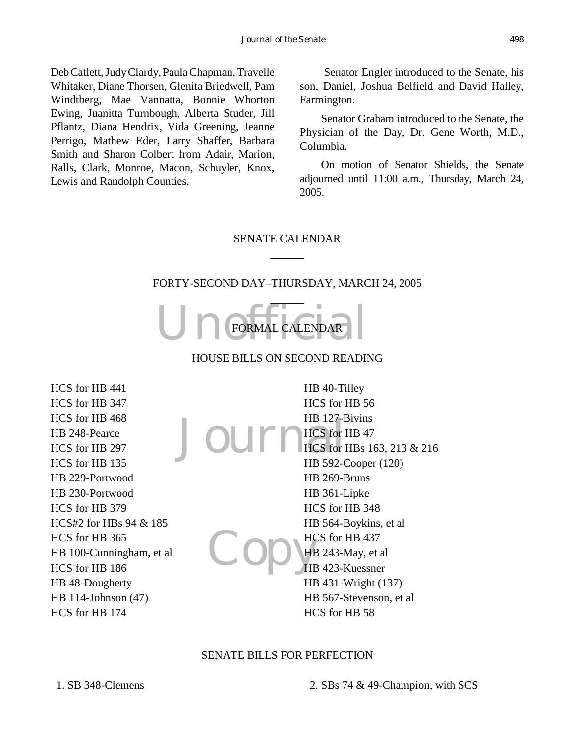Deb Catlett, Judy Clardy, Paula Chapman, Travelle Whitaker, Diane Thorsen, Glenita Briedwell, Pam Windtberg, Mae Vannatta, Bonnie Whorton Ewing, Juanitta Turnbough, Alberta Studer, Jill Pflantz, Diana Hendrix, Vida Greening, Jeanne Perrigo, Mathew Eder, Larry Shaffer, Barbara Smith and Sharon Colbert from Adair, Marion, Ralls, Clark, Monroe, Macon, Schuyler, Knox, Lewis and Randolph Counties.

 Senator Engler introduced to the Senate, his son, Daniel, Joshua Belfield and David Halley, Farmington.

Senator Graham introduced to the Senate, the Physician of the Day, Dr. Gene Worth, M.D., Columbia.

On motion of Senator Shields, the Senate adjourned until 11:00 a.m., Thursday, March 24, 2005.

# SENATE CALENDAR  $\overline{\phantom{a}}$

#### FORTY-SECOND DAY–THURSDAY, MARCH 24, 2005



## HOUSE BILLS ON SECOND READING

HCS for HB 441 HCS for HB 347 HCS for HB 468 HB 248-Pearce HCS for HB 297 HCS for HB 135 HB 229-Portwood HB 230-Portwood HCS for HB 379 HCS#2 for HBs 94 & 185 HCS for HB 365 HB 100-Cunningham, et al HCS for HB 186 HB 48-Dougherty HB 114-Johnson (47) HCS for HB 174

Journes for Copy HE HB 40-Tilley HCS for HB 56 HB 127-Bivins HCS for HB 47 HCS for HBs 163, 213 & 216 HB 592-Cooper (120) HB 269-Bruns HB 361-Lipke HCS for HB 348 HB 564-Boykins, et al HCS for HB 437 HB 243-May, et al HB 423-Kuessner HB 431-Wright (137) HB 567-Stevenson, et al HCS for HB 58

#### SENATE BILLS FOR PERFECTION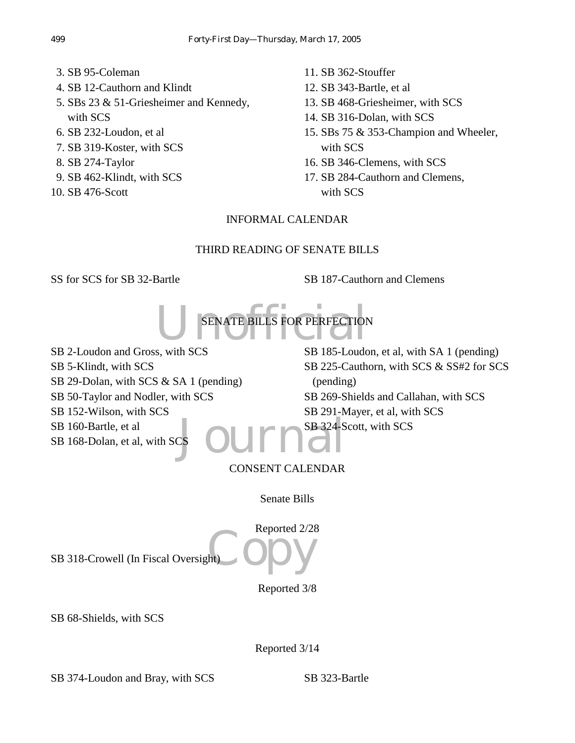- 3. SB 95-Coleman
- 4. SB 12-Cauthorn and Klindt
- 5. SBs 23 & 51-Griesheimer and Kennedy, with SCS
- 6. SB 232-Loudon, et al
- 7. SB 319-Koster, with SCS
- 8. SB 274-Taylor
- 9. SB 462-Klindt, with SCS
- 10. SB 476-Scott
- 11. SB 362-Stouffer
- 12. SB 343-Bartle, et al
- 13. SB 468-Griesheimer, with SCS
- 14. SB 316-Dolan, with SCS
- 15. SBs 75 & 353-Champion and Wheeler, with SCS
- 16. SB 346-Clemens, with SCS
- 17. SB 284-Cauthorn and Clemens, with SCS

# INFORMAL CALENDAR

# THIRD READING OF SENATE BILLS

SS for SCS for SB 32-Bartle SB 187-Cauthorn and Clemens

UN SENATE BILLS FOR PERFECTION SENATE BILLS FOR PERFECTION

aJournal SB 2-Loudon and Gross, with SCS SB 5-Klindt, with SCS SB 29-Dolan, with SCS & SA 1 (pending) SB 50-Taylor and Nodler, with SCS SB 152-Wilson, with SCS SB 160-Bartle, et al SB 168-Dolan, et al, with SC

SB 185-Loudon, et al, with SA 1 (pending) SB 225-Cauthorn, with SCS & SS#2 for SCS (pending) SB 269-Shields and Callahan, with SCS SB 291-Mayer, et al, with SCS SB 324-Scott, with SCS

# CONSENT CALENDAR

Senate Bills

ht) ODY Reported 2/28 SB 318-Crowell (In Fiscal Oversight)

Reported 3/8

SB 68-Shields, with SCS

Reported 3/14

SB 374-Loudon and Bray, with SCS SB 323-Bartle